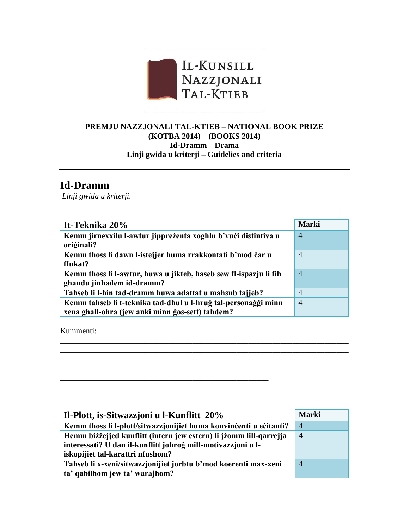

## **PREMJU NAZZJONALI TAL-KTIEB – NATIONAL BOOK PRIZE (KOTBA 2014) – (BOOKS 2014) Id-Dramm – Drama Linji gwida u kriterji – Guidelies and criteria**

## **Id-Dramm**

*Linji gwida u kriterji.* 

| It-Teknika 20%                                                                                                     | <b>Marki</b>   |
|--------------------------------------------------------------------------------------------------------------------|----------------|
| Kemm jirnexxilu l-awtur jippreżenta xoghlu b'vući distintiva u<br>oriģinali?                                       | $\overline{4}$ |
| Kemm thoss li dawn l-istejjer huma rrakkontati b'mod car u<br>ffukat?                                              | $\overline{4}$ |
| Kemm thoss li l-awtur, huwa u jikteb, haseb sew fl-ispazju li fih<br>ghandu jinhadem id-dramm?                     | $\overline{4}$ |
| Tahseb li l-hin tad-dramm huwa adattat u mahsub tajjeb?                                                            | $\overline{4}$ |
| Kemm tahseb li t-teknika tad-dhul u l-hrug tal-personaggi minn<br>xena ghall-ohra (jew anki minn gos-sett) tahdem? | $\overline{4}$ |
|                                                                                                                    |                |

\_\_\_\_\_\_\_\_\_\_\_\_\_\_\_\_\_\_\_\_\_\_\_\_\_\_\_\_\_\_\_\_\_\_\_\_\_\_\_\_\_\_\_\_\_\_\_\_\_\_\_\_\_\_\_\_\_\_\_\_\_\_\_\_\_\_\_\_\_\_\_\_ \_\_\_\_\_\_\_\_\_\_\_\_\_\_\_\_\_\_\_\_\_\_\_\_\_\_\_\_\_\_\_\_\_\_\_\_\_\_\_\_\_\_\_\_\_\_\_\_\_\_\_\_\_\_\_\_\_\_\_\_\_\_\_\_\_\_\_\_\_\_\_\_ \_\_\_\_\_\_\_\_\_\_\_\_\_\_\_\_\_\_\_\_\_\_\_\_\_\_\_\_\_\_\_\_\_\_\_\_\_\_\_\_\_\_\_\_\_\_\_\_\_\_\_\_\_\_\_\_\_\_\_\_\_\_\_\_\_\_\_\_\_\_\_\_ \_\_\_\_\_\_\_\_\_\_\_\_\_\_\_\_\_\_\_\_\_\_\_\_\_\_\_\_\_\_\_\_\_\_\_\_\_\_\_\_\_\_\_\_\_\_\_\_\_\_\_\_\_\_\_\_\_\_\_\_\_\_\_\_\_\_\_\_\_\_\_\_

\_\_\_\_\_\_\_\_\_\_\_\_\_\_\_\_\_\_\_\_\_\_\_\_\_\_\_\_\_\_\_\_\_\_\_\_\_\_\_\_\_\_\_\_\_\_\_\_\_\_\_\_

Kummenti:

| Il-Plott, is-Sitwazzjoni u l-Kunflitt 20%                          | <b>Marki</b>   |
|--------------------------------------------------------------------|----------------|
| Kemm thoss li l-plott/sitwazzjonijiet huma konvincenti u ecitanti? | $\overline{4}$ |
| Hemm biżżejjed kunflitt (intern jew estern) li jżomm lill-qarrejja | $\overline{A}$ |
| interessati? U dan il-kunflitt johrog mill-motivazzjoni u l-       |                |
| iskopijiet tal-karattri nfushom?                                   |                |
| Tahseb li x-xeni/sitwazzjonijiet jorbtu b'mod koerenti max-xeni    | $\overline{4}$ |
| ta' qabilhom jew ta' warajhom?                                     |                |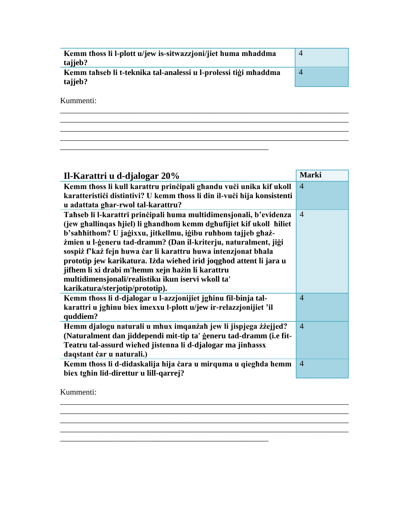| Kemm thoss li l-plott u/jew is-sitwazzjoni/jiet huma mhaddma<br>tajjeb?    | $\overline{4}$ |
|----------------------------------------------------------------------------|----------------|
| Kemm tahseb li t-teknika tal-analessi u l-prolessi tigi mhaddma<br>tajjeb? | $\overline{4}$ |
|                                                                            |                |

\_\_\_\_\_\_\_\_\_\_\_\_\_\_\_\_\_\_\_\_\_\_\_\_\_\_\_\_\_\_\_\_\_\_\_\_\_\_\_\_\_\_\_\_\_\_\_\_\_\_\_\_\_\_\_\_\_\_\_\_\_\_\_\_\_\_\_\_\_\_\_\_

\_\_\_\_\_\_\_\_\_\_\_\_\_\_\_\_\_\_\_\_\_\_\_\_\_\_\_\_\_\_\_\_\_\_\_\_\_\_\_\_\_\_\_\_\_\_\_\_\_\_\_\_\_\_\_\_\_\_\_\_\_\_\_\_\_\_\_\_\_\_\_\_  $\ldots$  . The contribution of the contribution of the contribution of the contribution of the contribution of the contribution of the contribution of the contribution of the contribution of the contribution of the contribut

 $\mathcal{L}_\text{max}$  , and the set of the set of the set of the set of the set of the set of the set of the set of the set of the set of the set of the set of the set of the set of the set of the set of the set of the set of the

Kummenti:

| Il-Karattri u d-djalogar 20%                                            | <b>Marki</b>   |
|-------------------------------------------------------------------------|----------------|
| Kemm thoss li kull karattru prinčipali ghandu vuči unika kif ukoll      | $\overline{4}$ |
| karatterističi distintivi? U kemm thoss li din il-vuči hija konsistenti |                |
| u adattata ghar-rwol tal-karattru?                                      |                |
| Tahseb li l-karattri prinčipali huma multidimensjonali, b'evidenza      | $\overline{4}$ |
| (jew ghallingas hjiel) li ghandhom kemm dghufijiet kif ukoll hiliet     |                |
| b'sahhithom? U jagixxu, jitkellmu, igibu ruhhom tajjeb ghaż-            |                |
| żmien u l-generu tad-dramm? (Dan il-kriterju, naturalment, jigi         |                |
| sospiż f'każ fejn huwa car li karattru huwa intenzjonat bhala           |                |
| prototip jew karikatura. Iżda wiehed irid joqghod attent li jara u      |                |
| jifhem li xi drabi m'hemm xejn hazin li karattru                        |                |
| multidimensjonali/realistiku ikun iservi wkoll ta'                      |                |
| karikatura/sterjotip/prototip).                                         |                |
| Kemm thoss li d-djalogar u l-azzjonijiet jghinu fil-binja tal-          | $\overline{4}$ |
| karattri u jghinu biex imexxu l-plott u/jew ir-relazzjonijiet 'il       |                |
| quddiem?                                                                |                |
| Hemm djalogu naturali u mhux imqanżah jew li jispjega żżejjed?          | $\overline{4}$ |
| (Naturalment dan jiddependi mit-tip ta' generu tad-dramm (i.e fit-      |                |
| Teatru tal-assurd wiehed jistenna li d-djalogar ma jinhassx             |                |
| daqstant čar u naturali.)                                               |                |
| Kemm thoss li d-didaskalija hija čara u mirquma u qieghda hemm          | $\overline{4}$ |
| biex tghin lid-direttur u lill-qarrej?                                  |                |

 $\ldots$  . The contribution of the contribution of the contribution of the contribution of the contribution of the contribution of  $\alpha$ \_\_\_\_\_\_\_\_\_\_\_\_\_\_\_\_\_\_\_\_\_\_\_\_\_\_\_\_\_\_\_\_\_\_\_\_\_\_\_\_\_\_\_\_\_\_\_\_\_\_\_\_\_\_\_\_\_\_\_\_\_\_\_\_\_\_\_\_\_\_\_\_

\_\_\_\_\_\_\_\_\_\_\_\_\_\_\_\_\_\_\_\_\_\_\_\_\_\_\_\_\_\_\_\_\_\_\_\_\_\_\_\_\_\_\_\_\_\_\_\_\_\_\_\_

Kummenti: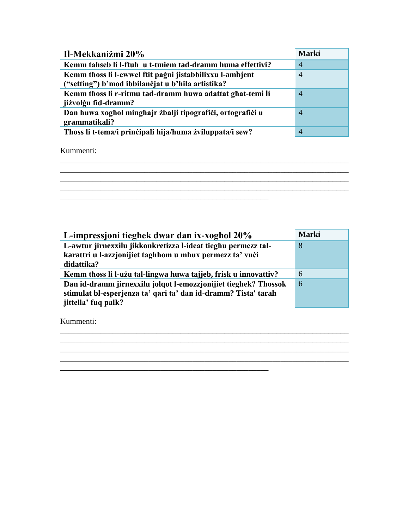| <b>Marki</b>   |
|----------------|
| 4              |
| $\overline{4}$ |
|                |
| $\overline{4}$ |
|                |
| 4              |
|                |
| 4              |
|                |

Kummenti:



\_\_\_\_\_\_\_\_\_\_\_\_\_\_\_\_\_\_\_\_\_\_\_\_\_\_\_\_\_\_\_\_\_\_\_\_\_\_\_\_\_\_\_\_\_\_\_\_\_\_\_\_\_\_\_\_\_\_\_\_\_\_\_\_\_\_\_\_\_\_\_\_

| L-impressioni tieghek dwar dan ix-xoghol 20%                    | <b>Marki</b> |
|-----------------------------------------------------------------|--------------|
| L-awtur jirnexxilu jikkonkretizza l-ideat tieghu permezz tal-   | 8            |
| karattri u l-azzjonijiet taghhom u mhux permezz ta' vući        |              |
| didattika?                                                      |              |
| Kemm thoss li l-użu tal-lingwa huwa tajjeb, frisk u innovattiv? | 6            |
| Dan id-dramm jirnexxilu jolqot l-emozzjonijiet tieghek? Thossok | 6            |
| stimulat bl-esperjenza ta' qari ta' dan id-dramm? Tista' tarah  |              |
| jittella' fuq palk?                                             |              |

\_\_\_\_\_\_\_\_\_\_\_\_\_\_\_\_\_\_\_\_\_\_\_\_\_\_\_\_\_\_\_\_\_\_\_\_\_\_\_\_\_\_\_\_\_\_\_\_\_\_\_\_\_\_\_\_\_\_\_\_\_\_\_\_\_\_\_\_\_\_\_\_  $\overline{\phantom{a}}$  , and the contribution of the contribution of the contribution of the contribution of the contribution of the contribution of the contribution of the contribution of the contribution of the contribution of the \_\_\_\_\_\_\_\_\_\_\_\_\_\_\_\_\_\_\_\_\_\_\_\_\_\_\_\_\_\_\_\_\_\_\_\_\_\_\_\_\_\_\_\_\_\_\_\_\_\_\_\_\_\_\_\_\_\_\_\_\_\_\_\_\_\_\_\_\_\_\_\_  $\mathcal{L}_\text{max}$  and  $\mathcal{L}_\text{max}$  and  $\mathcal{L}_\text{max}$  and  $\mathcal{L}_\text{max}$  and  $\mathcal{L}_\text{max}$  and  $\mathcal{L}_\text{max}$ 

\_\_\_\_\_\_\_\_\_\_\_\_\_\_\_\_\_\_\_\_\_\_\_\_\_\_\_\_\_\_\_\_\_\_\_\_\_\_\_\_\_\_\_\_\_\_\_\_\_\_\_\_

Kummenti: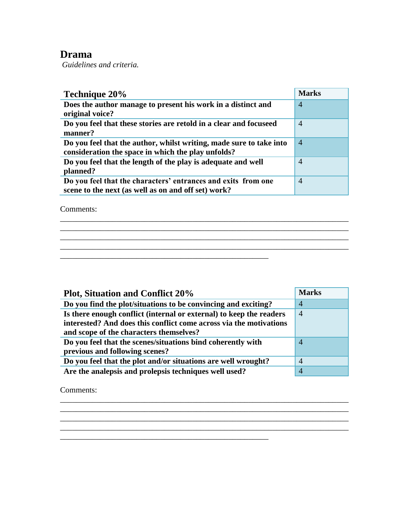## **Drama**

*Guidelines and criteria.* 

| Technique 20%                                                       | <b>Marks</b>   |
|---------------------------------------------------------------------|----------------|
| Does the author manage to present his work in a distinct and        | $\overline{4}$ |
| original voice?                                                     |                |
| Do you feel that these stories are retold in a clear and focuseed   | $\overline{4}$ |
| manner?                                                             |                |
| Do you feel that the author, whilst writing, made sure to take into | $\overline{A}$ |
| consideration the space in which the play unfolds?                  |                |
| Do you feel that the length of the play is adequate and well        | $\overline{4}$ |
| planned?                                                            |                |
| Do you feel that the characters' entrances and exits from one       | $\overline{4}$ |
| scene to the next (as well as on and off set) work?                 |                |

\_\_\_\_\_\_\_\_\_\_\_\_\_\_\_\_\_\_\_\_\_\_\_\_\_\_\_\_\_\_\_\_\_\_\_\_\_\_\_\_\_\_\_\_\_\_\_\_\_\_\_\_\_\_\_\_\_\_\_\_\_\_\_\_\_\_\_\_\_\_\_\_

\_\_\_\_\_\_\_\_\_\_\_\_\_\_\_\_\_\_\_\_\_\_\_\_\_\_\_\_\_\_\_\_\_\_\_\_\_\_\_\_\_\_\_\_\_\_\_\_\_\_\_\_\_\_\_\_\_\_\_\_\_\_\_\_\_\_\_\_\_\_\_\_

\_\_\_\_\_\_\_\_\_\_\_\_\_\_\_\_\_\_\_\_\_\_\_\_\_\_\_\_\_\_\_\_\_\_\_\_\_\_\_\_\_\_\_\_\_\_\_\_\_\_\_\_

 $\mathcal{L}_\text{max} = \mathcal{L}_\text{max} = \mathcal{L}_\text{max} = \mathcal{L}_\text{max} = \mathcal{L}_\text{max} = \mathcal{L}_\text{max} = \mathcal{L}_\text{max}$ 

Comments:

| <b>Plot, Situation and Conflict 20%</b>                             | <b>Marks</b>   |
|---------------------------------------------------------------------|----------------|
| Do you find the plot/situations to be convincing and exciting?      | $\overline{4}$ |
| Is there enough conflict (internal or external) to keep the readers | $\overline{A}$ |
| interested? And does this conflict come across via the motivations  |                |
| and scope of the characters themselves?                             |                |
| Do you feel that the scenes/situations bind coherently with         | $\overline{4}$ |
| previous and following scenes?                                      |                |
| Do you feel that the plot and/or situations are well wrought?       | $\overline{4}$ |
| Are the analepsis and prolepsis techniques well used?               | 4              |

\_\_\_\_\_\_\_\_\_\_\_\_\_\_\_\_\_\_\_\_\_\_\_\_\_\_\_\_\_\_\_\_\_\_\_\_\_\_\_\_\_\_\_\_\_\_\_\_\_\_\_\_\_\_\_\_\_\_\_\_\_\_\_\_\_\_\_\_\_\_\_\_  $\mathcal{L}_\mathcal{L} = \{ \mathcal{L}_1, \mathcal{L}_2, \ldots, \mathcal{L}_N \}$ \_\_\_\_\_\_\_\_\_\_\_\_\_\_\_\_\_\_\_\_\_\_\_\_\_\_\_\_\_\_\_\_\_\_\_\_\_\_\_\_\_\_\_\_\_\_\_\_\_\_\_\_\_\_\_\_\_\_\_\_\_\_\_\_\_\_\_\_\_\_\_\_

Comments: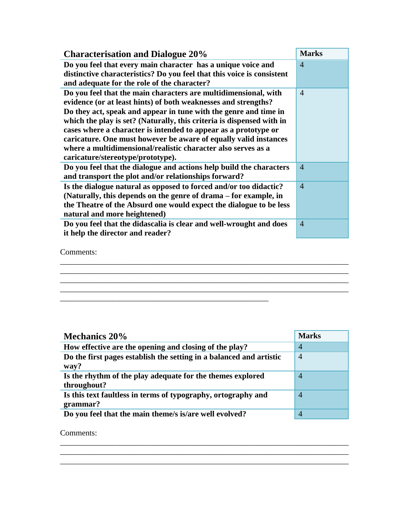| <b>Characterisation and Dialogue 20%</b>                               | <b>Marks</b>   |
|------------------------------------------------------------------------|----------------|
| Do you feel that every main character has a unique voice and           | $\overline{4}$ |
| distinctive characteristics? Do you feel that this voice is consistent |                |
| and adequate for the role of the character?                            |                |
| Do you feel that the main characters are multidimensional, with        | $\overline{4}$ |
| evidence (or at least hints) of both weaknesses and strengths?         |                |
| Do they act, speak and appear in tune with the genre and time in       |                |
| which the play is set? (Naturally, this criteria is dispensed with in  |                |
| cases where a character is intended to appear as a prototype or        |                |
| caricature. One must however be aware of equally valid instances       |                |
| where a multidimensional/realistic character also serves as a          |                |
| caricature/stereotype/prototype).                                      |                |
| Do you feel that the dialogue and actions help build the characters    | $\overline{4}$ |
| and transport the plot and/or relationships forward?                   |                |
| Is the dialogue natural as opposed to forced and/or too didactic?      | $\overline{4}$ |
| (Naturally, this depends on the genre of drama – for example, in       |                |
| the Theatre of the Absurd one would expect the dialogue to be less     |                |
| natural and more heightened)                                           |                |
| Do you feel that the didascalia is clear and well-wrought and does     | $\overline{4}$ |
| it help the director and reader?                                       |                |
|                                                                        |                |

Comments:

| <b>Mechanics 20%</b>                                                        | <b>Marks</b>   |
|-----------------------------------------------------------------------------|----------------|
| How effective are the opening and closing of the play?                      | 4              |
| Do the first pages establish the setting in a balanced and artistic<br>way? | $\overline{4}$ |
| Is the rhythm of the play adequate for the themes explored<br>throughout?   | $\overline{4}$ |
| Is this text faultless in terms of typography, ortography and<br>grammar?   | $\overline{4}$ |
| Do you feel that the main theme/s is/are well evolved?                      |                |

\_\_\_\_\_\_\_\_\_\_\_\_\_\_\_\_\_\_\_\_\_\_\_\_\_\_\_\_\_\_\_\_\_\_\_\_\_\_\_\_\_\_\_\_\_\_\_\_\_\_\_\_\_\_\_\_\_\_\_\_\_\_\_\_\_\_\_\_\_\_\_\_ \_\_\_\_\_\_\_\_\_\_\_\_\_\_\_\_\_\_\_\_\_\_\_\_\_\_\_\_\_\_\_\_\_\_\_\_\_\_\_\_\_\_\_\_\_\_\_\_\_\_\_\_\_\_\_\_\_\_\_\_\_\_\_\_\_\_\_\_\_\_\_\_ \_\_\_\_\_\_\_\_\_\_\_\_\_\_\_\_\_\_\_\_\_\_\_\_\_\_\_\_\_\_\_\_\_\_\_\_\_\_\_\_\_\_\_\_\_\_\_\_\_\_\_\_\_\_\_\_\_\_\_\_\_\_\_\_\_\_\_\_\_\_\_\_

\_\_\_\_\_\_\_\_\_\_\_\_\_\_\_\_\_\_\_\_\_\_\_\_\_\_\_\_\_\_\_\_\_\_\_\_\_\_\_\_\_\_\_\_\_\_\_\_\_\_\_\_\_\_\_\_\_\_\_\_\_\_\_\_\_\_\_\_\_\_\_\_ \_\_\_\_\_\_\_\_\_\_\_\_\_\_\_\_\_\_\_\_\_\_\_\_\_\_\_\_\_\_\_\_\_\_\_\_\_\_\_\_\_\_\_\_\_\_\_\_\_\_\_\_\_\_\_\_\_\_\_\_\_\_\_\_\_\_\_\_\_\_\_\_

\_\_\_\_\_\_\_\_\_\_\_\_\_\_\_\_\_\_\_\_\_\_\_\_\_\_\_\_\_\_\_\_\_\_\_\_\_\_\_\_\_\_\_\_\_\_\_\_\_\_\_\_\_\_\_\_\_\_\_\_\_\_\_\_\_\_\_\_\_\_\_\_

\_\_\_\_\_\_\_\_\_\_\_\_\_\_\_\_\_\_\_\_\_\_\_\_\_\_\_\_\_\_\_\_\_\_\_\_\_\_\_\_\_\_\_\_\_\_\_\_\_\_\_\_

Comments: